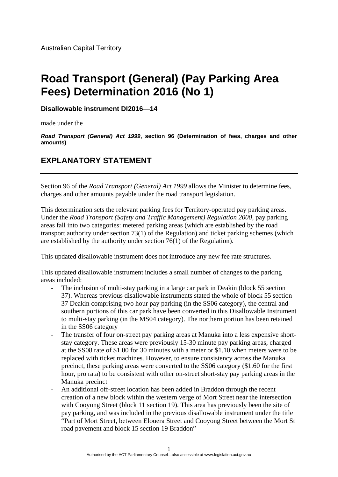Australian Capital Territory

## **Road Transport (General) (Pay Parking Area Fees) Determination 2016 (No 1)**

**Disallowable instrument DI2016—14**

made under the

*Road Transport (General) Act 1999***, section 96 (Determination of fees, charges and other amounts)** 

## **EXPLANATORY STATEMENT**

Section 96 of the *Road Transport (General) Act 1999* allows the Minister to determine fees, charges and other amounts payable under the road transport legislation.

This determination sets the relevant parking fees for Territory-operated pay parking areas. Under the *Road Transport (Safety and Traffic Management) Regulation 2000*, pay parking areas fall into two categories: metered parking areas (which are established by the road transport authority under section 73(1) of the Regulation) and ticket parking schemes (which are established by the authority under section 76(1) of the Regulation).

This updated disallowable instrument does not introduce any new fee rate structures.

This updated disallowable instrument includes a small number of changes to the parking areas included:

- The inclusion of multi-stay parking in a large car park in Deakin (block 55 section 37). Whereas previous disallowable instruments stated the whole of block 55 section 37 Deakin comprising two hour pay parking (in the SS06 category), the central and southern portions of this car park have been converted in this Disallowable Instrument to multi-stay parking (in the MS04 category). The northern portion has been retained in the SS06 category
- The transfer of four on-street pay parking areas at Manuka into a less expensive shortstay category. These areas were previously 15-30 minute pay parking areas, charged at the SS08 rate of \$1.00 for 30 minutes with a meter or \$1.10 when meters were to be replaced with ticket machines. However, to ensure consistency across the Manuka precinct, these parking areas were converted to the SS06 category (\$1.60 for the first hour, pro rata) to be consistent with other on-street short-stay pay parking areas in the Manuka precinct
- An additional off-street location has been added in Braddon through the recent creation of a new block within the western verge of Mort Street near the intersection with Cooyong Street (block 11 section 19). This area has previously been the site of pay parking, and was included in the previous disallowable instrument under the title "Part of Mort Street, between Elouera Street and Cooyong Street between the Mort St road pavement and block 15 section 19 Braddon"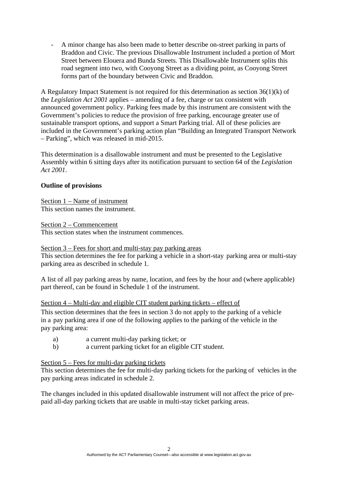- A minor change has also been made to better describe on-street parking in parts of Braddon and Civic. The previous Disallowable Instrument included a portion of Mort Street between Elouera and Bunda Streets. This Disallowable Instrument splits this road segment into two, with Cooyong Street as a dividing point, as Cooyong Street forms part of the boundary between Civic and Braddon.

A Regulatory Impact Statement is not required for this determination as section 36(1)(k) of the *Legislation Act 2001* applies – amending of a fee, charge or tax consistent with announced government policy. Parking fees made by this instrument are consistent with the Government's policies to reduce the provision of free parking, encourage greater use of sustainable transport options, and support a Smart Parking trial. All of these policies are included in the Government's parking action plan "Building an Integrated Transport Network – Parking", which was released in mid-2015.

This determination is a disallowable instrument and must be presented to the Legislative Assembly within 6 sitting days after its notification pursuant to section 64 of the *Legislation Act 2001*.

## **Outline of provisions**

Section 1 – Name of instrument This section names the instrument.

Section 2 – Commencement

This section states when the instrument commences.

Section 3 – Fees for short and multi-stay pay parking areas

This section determines the fee for parking a vehicle in a short-stay parking area or multi-stay parking area as described in schedule 1.

A list of all pay parking areas by name, location, and fees by the hour and (where applicable) part thereof, can be found in Schedule 1 of the instrument.

Section 4 – Multi-day and eligible CIT student parking tickets – effect of

This section determines that the fees in section 3 do not apply to the parking of a vehicle in a pay parking area if one of the following applies to the parking of the vehicle in the pay parking area:

- a) a current multi-day parking ticket; or
- b) a current parking ticket for an eligible CIT student.

## Section 5 – Fees for multi-day parking tickets

This section determines the fee for multi-day parking tickets for the parking of vehicles in the pay parking areas indicated in schedule 2.

The changes included in this updated disallowable instrument will not affect the price of prepaid all-day parking tickets that are usable in multi-stay ticket parking areas.